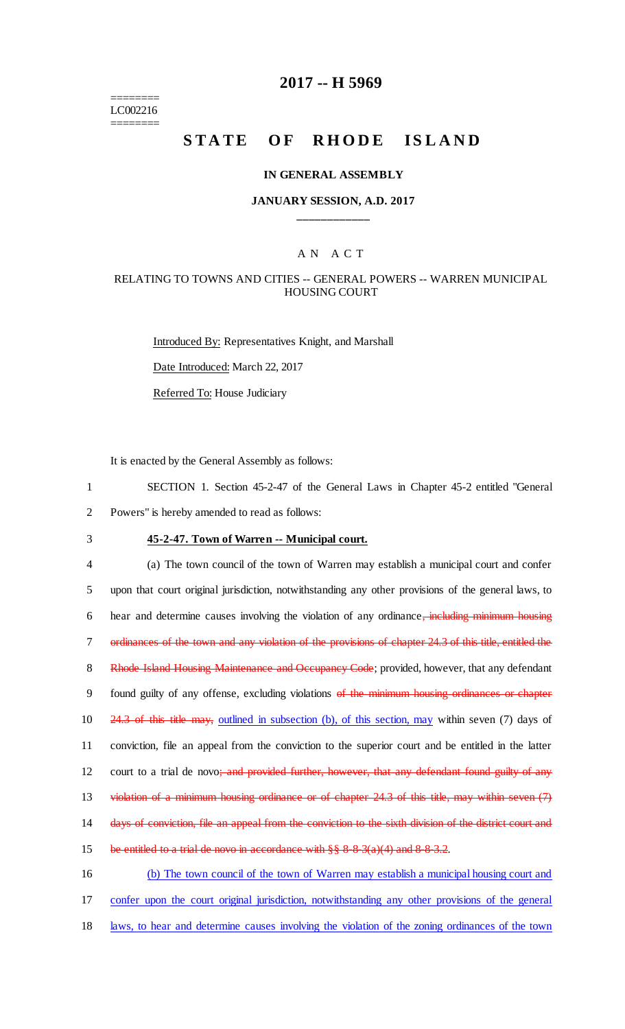======== LC002216 ========

# **2017 -- H 5969**

# **STATE OF RHODE ISLAND**

#### **IN GENERAL ASSEMBLY**

### **JANUARY SESSION, A.D. 2017 \_\_\_\_\_\_\_\_\_\_\_\_**

### A N A C T

### RELATING TO TOWNS AND CITIES -- GENERAL POWERS -- WARREN MUNICIPAL HOUSING COURT

Introduced By: Representatives Knight, and Marshall Date Introduced: March 22, 2017 Referred To: House Judiciary

It is enacted by the General Assembly as follows:

1 SECTION 1. Section 45-2-47 of the General Laws in Chapter 45-2 entitled "General 2 Powers" is hereby amended to read as follows:

3 **45-2-47. Town of Warren -- Municipal court.**

4 (a) The town council of the town of Warren may establish a municipal court and confer 5 upon that court original jurisdiction, notwithstanding any other provisions of the general laws, to 6 hear and determine causes involving the violation of any ordinance, including minimum housing 7 ordinances of the town and any violation of the provisions of chapter 24.3 of this title, entitled the 8 Rhode Island Housing Maintenance and Occupancy Code; provided, however, that any defendant 9 found guilty of any offense, excluding violations of the minimum housing ordinances or chapter 10 24.3 of this title may, outlined in subsection (b), of this section, may within seven (7) days of 11 conviction, file an appeal from the conviction to the superior court and be entitled in the latter 12 court to a trial de novo; and provided further, however, that any defendant found guilty of any 13 violation of a minimum housing ordinance or of chapter 24.3 of this title, may within seven (7) 14 days of conviction, file an appeal from the conviction to the sixth division of the district court and 15 be entitled to a trial de novo in accordance with  $\S$ § 8-8-3(a)(4) and 8-8-3.2. 16 (b) The town council of the town of Warren may establish a municipal housing court and 17 confer upon the court original jurisdiction, notwithstanding any other provisions of the general

18 laws, to hear and determine causes involving the violation of the zoning ordinances of the town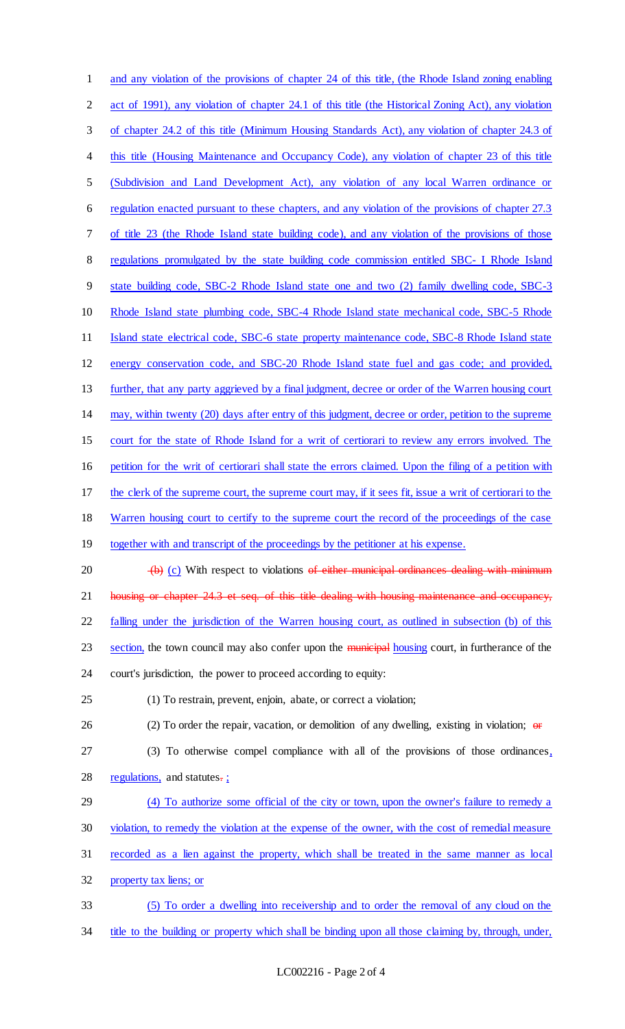| 1              | and any violation of the provisions of chapter 24 of this title, (the Rhode Island zoning enabling       |
|----------------|----------------------------------------------------------------------------------------------------------|
| $\overline{2}$ | act of 1991), any violation of chapter 24.1 of this title (the Historical Zoning Act), any violation     |
| 3              | of chapter 24.2 of this title (Minimum Housing Standards Act), any violation of chapter 24.3 of          |
| 4              | this title (Housing Maintenance and Occupancy Code), any violation of chapter 23 of this title           |
| 5              | (Subdivision and Land Development Act), any violation of any local Warren ordinance or                   |
| 6              | regulation enacted pursuant to these chapters, and any violation of the provisions of chapter 27.3       |
| 7              | of title 23 (the Rhode Island state building code), and any violation of the provisions of those         |
| 8              | regulations promulgated by the state building code commission entitled SBC- I Rhode Island               |
| 9              | state building code, SBC-2 Rhode Island state one and two (2) family dwelling code, SBC-3                |
| 10             | Rhode Island state plumbing code, SBC-4 Rhode Island state mechanical code, SBC-5 Rhode                  |
| 11             | Island state electrical code, SBC-6 state property maintenance code, SBC-8 Rhode Island state            |
| 12             | energy conservation code, and SBC-20 Rhode Island state fuel and gas code; and provided,                 |
| 13             | further, that any party aggrieved by a final judgment, decree or order of the Warren housing court       |
| 14             | may, within twenty (20) days after entry of this judgment, decree or order, petition to the supreme      |
| 15             | court for the state of Rhode Island for a writ of certiorari to review any errors involved. The          |
| 16             | petition for the writ of certiorari shall state the errors claimed. Upon the filing of a petition with   |
| 17             | the clerk of the supreme court, the supreme court may, if it sees fit, issue a writ of certiorari to the |
| 18             | Warren housing court to certify to the supreme court the record of the proceedings of the case           |
| 19             | together with and transcript of the proceedings by the petitioner at his expense.                        |
| 20             | $-(b)$ (c) With respect to violations of either municipal ordinances dealing with minimum                |
| 21             | housing or chapter 24.3 et seq. of this title dealing with housing maintenance and occupancy,            |
| 22             | falling under the jurisdiction of the Warren housing court, as outlined in subsection (b) of this        |
| 23             | section, the town council may also confer upon the municipal housing court, in furtherance of the        |
| 24             | court's jurisdiction, the power to proceed according to equity:                                          |
| 25             | (1) To restrain, prevent, enjoin, abate, or correct a violation;                                         |
| 26             | (2) To order the repair, vacation, or demolition of any dwelling, existing in violation; $\Theta$        |
| 27             | (3) To otherwise compel compliance with all of the provisions of those ordinances,                       |
| 28             | regulations, and statutes-;                                                                              |
| 29             | (4) To authorize some official of the city or town, upon the owner's failure to remedy a                 |
| 30             | violation, to remedy the violation at the expense of the owner, with the cost of remedial measure        |
| 31             | recorded as a lien against the property, which shall be treated in the same manner as local              |
| 32             | property tax liens; or                                                                                   |
| 33             | (5) To order a dwelling into receivership and to order the removal of any cloud on the                   |
| 34             | title to the building or property which shall be binding upon all those claiming by, through, under,     |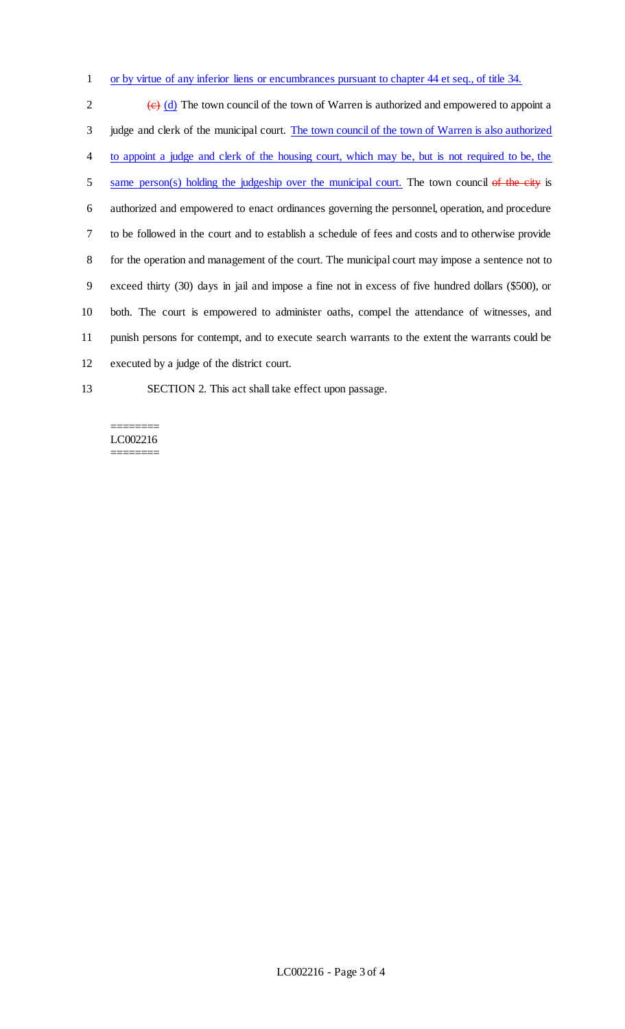1 or by virtue of any inferior liens or encumbrances pursuant to chapter 44 et seq., of title 34.

 $\left(\frac{e}{c}\right)$  (d) The town council of the town of Warren is authorized and empowered to appoint a 3 judge and clerk of the municipal court. The town council of the town of Warren is also authorized to appoint a judge and clerk of the housing court, which may be, but is not required to be, the 5 same person(s) holding the judgeship over the municipal court. The town council of the city is authorized and empowered to enact ordinances governing the personnel, operation, and procedure to be followed in the court and to establish a schedule of fees and costs and to otherwise provide for the operation and management of the court. The municipal court may impose a sentence not to exceed thirty (30) days in jail and impose a fine not in excess of five hundred dollars (\$500), or both. The court is empowered to administer oaths, compel the attendance of witnesses, and punish persons for contempt, and to execute search warrants to the extent the warrants could be executed by a judge of the district court.

13 SECTION 2. This act shall take effect upon passage.

#### ======== LC002216 ========